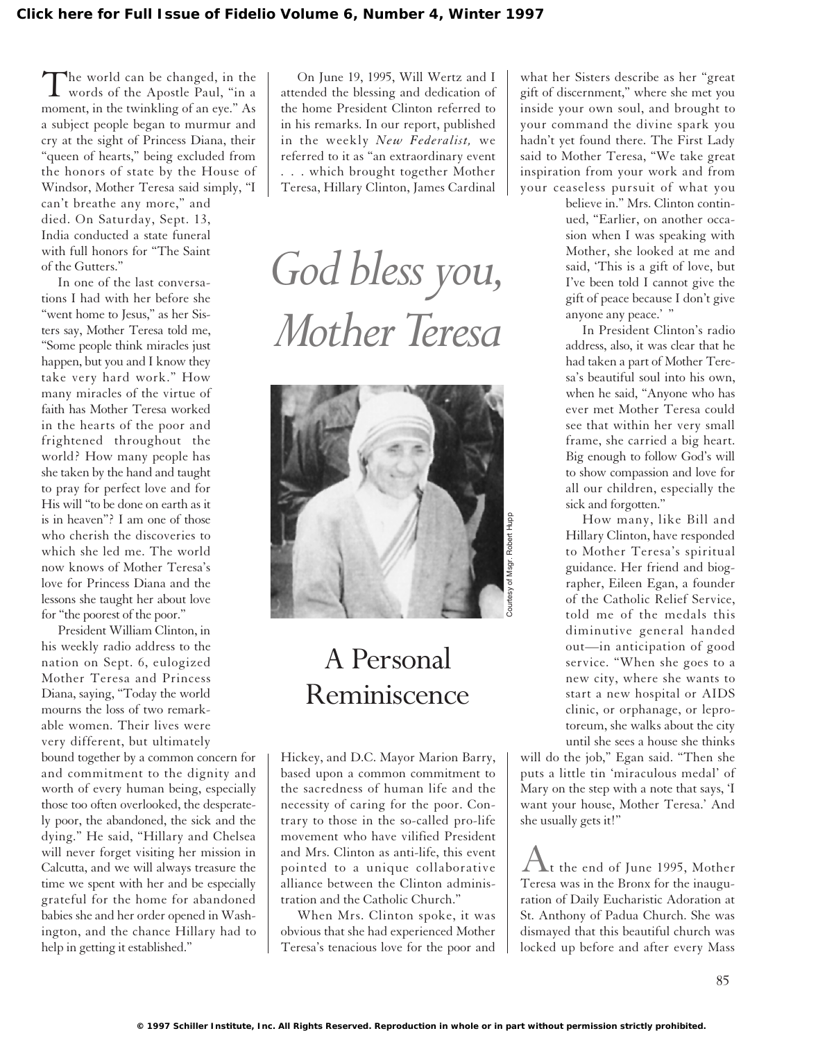The world can be changed, in the words of the Apostle Paul, "in a moment, in the twinkling of an eye." As a subject people began to murmur and cry at the sight of Princess Diana, their "queen of hearts," being excluded from the honors of state by the House of Windsor, Mother Teresa said simply, "I can't breathe any more," and

died. On Saturday, Sept. 13, India conducted a state funeral with full honors for "The Saint of the Gutters."

In one of the last conversations I had with her before she "went home to Jesus," as her Sisters say, Mother Teresa told me, "Some people think miracles just happen, but you and I know they take very hard work." How many miracles of the virtue of faith has Mother Teresa worked in the hearts of the poor and frightened throughout the world? How many people has she taken by the hand and taught to pray for perfect love and for His will "to be done on earth as it is in heaven"? I am one of those who cherish the discoveries to which she led me. The world now knows of Mother Teresa's love for Princess Diana and the lessons she taught her about love for "the poorest of the poor."

President William Clinton, in his weekly radio address to the nation on Sept. 6, eulogized Mother Teresa and Princess Diana, saying, "Today the world mourns the loss of two remarkable women. Their lives were very different, but ultimately bound together by a common concern for and commitment to the dignity and worth of every human being, especially those too often overlooked, the desperately poor, the abandoned, the sick and the dying." He said, "Hillary and Chelsea will never forget visiting her mission in Calcutta, and we will always treasure the time we spent with her and be especially grateful for the home for abandoned babies she and her order opened in Washington, and the chance Hillary had to help in getting it established."

On June 19, 1995, Will Wertz and I attended the blessing and dedication of the home President Clinton referred to in his remarks. In our report, published in the weekly *New Federalist,* we referred to it as "an extraordinary event . . . which brought together Mother Teresa, Hillary Clinton, James Cardinal

*God bless you, Mother Teresa* 



## A Personal Reminiscence

Hickey, and D.C. Mayor Marion Barry, based upon a common commitment to the sacredness of human life and the necessity of caring for the poor. Contrary to those in the so-called pro-life movement who have vilified President and Mrs. Clinton as anti-life, this event pointed to a unique collaborative alliance between the Clinton administration and the Catholic Church."

When Mrs. Clinton spoke, it was obvious that she had experienced Mother Teresa's tenacious love for the poor and

what her Sisters describe as her "great gift of discernment," where she met you inside your own soul, and brought to your command the divine spark you hadn't yet found there. The First Lady said to Mother Teresa, "We take great inspiration from your work and from your ceaseless pursuit of what you

> believe in." Mrs. Clinton continued, "Earlier, on another occasion when I was speaking with Mother, she looked at me and said, 'This is a gift of love, but I've been told I cannot give the gift of peace because I don't give anyone any peace.'"

> In President Clinton's radio address, also, it was clear that he had taken a part of Mother Teresa's beautiful soul into his own, when he said, "Anyone who has ever met Mother Teresa could see that within her very small frame, she carried a big heart. Big enough to follow God's will to show compassion and love for all our children, especially the sick and forgotten."

> How many, like Bill and Hillary Clinton, have responded to Mother Teresa's spiritual guidance. Her friend and biographer, Eileen Egan, a founder of the Catholic Relief Service, told me of the medals this diminutive general handed out—in anticipation of good service. "When she goes to a new city, where she wants to start a new hospital or AIDS clinic, or orphanage, or leprotoreum, she walks about the city until she sees a house she thinks

will do the job," Egan said. "Then she puts a little tin 'miraculous medal' of Mary on the step with a note that says, 'I want your house, Mother Teresa.' And she usually gets it!"

 $\bigwedge$ t the end of June 1995, Mother Teresa was in the Bronx for the inauguration of Daily Eucharistic Adoration at St. Anthony of Padua Church. She was dismayed that this beautiful church was locked up before and after every Mass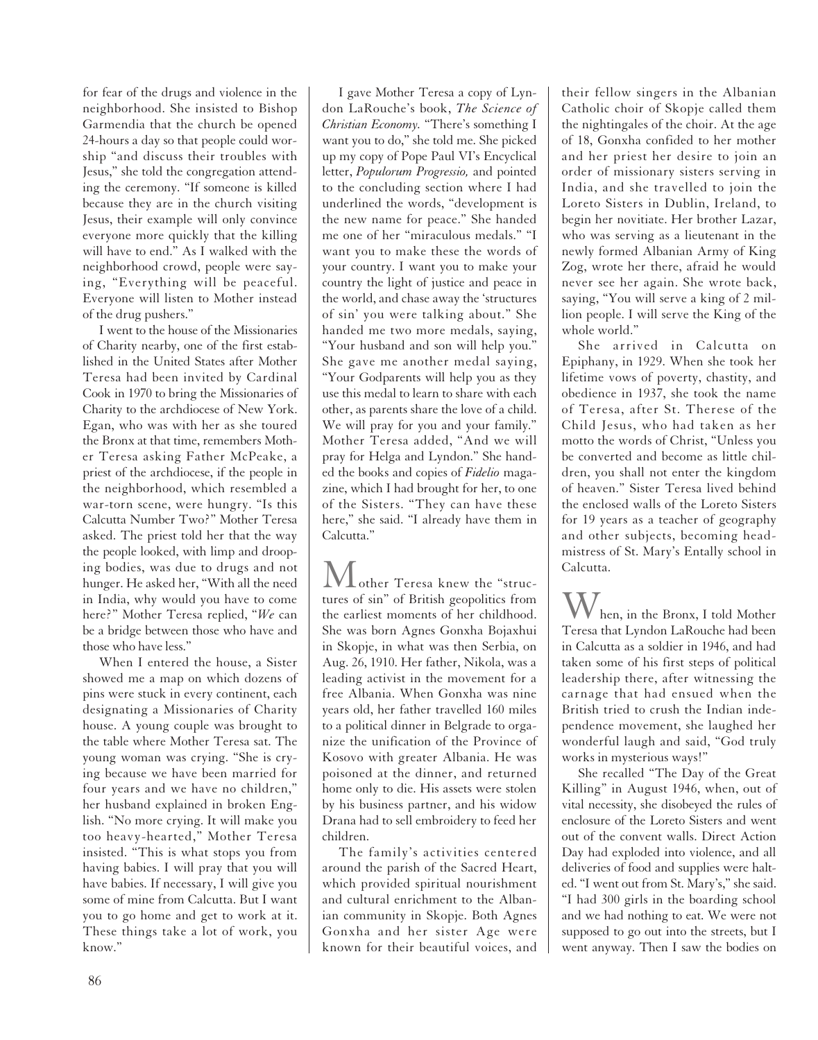for fear of the drugs and violence in the neighborhood. She insisted to Bishop Garmendia that the church be opened 24-hours a day so that people could worship "and discuss their troubles with Jesus," she told the congregation attending the ceremony. "If someone is killed because they are in the church visiting Jesus, their example will only convince everyone more quickly that the killing will have to end." As I walked with the neighborhood crowd, people were saying, "Everything will be peaceful. Everyone will listen to Mother instead of the drug pushers."

I went to the house of the Missionaries of Charity nearby, one of the first established in the United States after Mother Teresa had been invited by Cardinal Cook in 1970 to bring the Missionaries of Charity to the archdiocese of New York. Egan, who was with her as she toured the Bronx at that time, remembers Mother Teresa asking Father McPeake, a priest of the archdiocese, if the people in the neighborhood, which resembled a war-torn scene, were hungry. "Is this Calcutta Number Two?" Mother Teresa asked. The priest told her that the way the people looked, with limp and drooping bodies, was due to drugs and not hunger. He asked her, "With all the need in India, why would you have to come here?" Mother Teresa replied, "*We* can be a bridge between those who have and those who have less."

When I entered the house, a Sister showed me a map on which dozens of pins were stuck in every continent, each designating a Missionaries of Charity house. A young couple was brought to the table where Mother Teresa sat. The young woman was crying. "She is crying because we have been married for four years and we have no children," her husband explained in broken English. "No more crying. It will make you too heavy-hearted," Mother Teresa insisted. "This is what stops you from having babies. I will pray that you will have babies. If necessary, I will give you some of mine from Calcutta. But I want you to go home and get to work at it. These things take a lot of work, you know."

I gave Mother Teresa a copy of Lyndon LaRouche's book, *The Science of Christian Economy.* "There's something I want you to do," she told me. She picked up my copy of Pope Paul VI's Encyclical letter, *Populorum Progressio,* and pointed to the concluding section where I had underlined the words, "development is the new name for peace." She handed me one of her "miraculous medals." "I want you to make these the words of your country. I want you to make your country the light of justice and peace in the world, and chase away the 'structures of sin' you were talking about." She handed me two more medals, saying, "Your husband and son will help you." She gave me another medal saying, "Your Godparents will help you as they use this medal to learn to share with each other, as parents share the love of a child. We will pray for you and your family." Mother Teresa added, "And we will pray for Helga and Lyndon." She handed the books and copies of *Fidelio* magazine, which I had brought for her, to one of the Sisters. "They can have these here," she said. "I already have them in Calcutta."

Mother Teresa knew the "structures of sin" of British geopolitics from the earliest moments of her childhood. She was born Agnes Gonxha Bojaxhui in Skopje, in what was then Serbia, on Aug. 26, 1910. Her father, Nikola, was a leading activist in the movement for a free Albania. When Gonxha was nine years old, her father travelled 160 miles to a political dinner in Belgrade to organize the unification of the Province of Kosovo with greater Albania. He was poisoned at the dinner, and returned home only to die. His assets were stolen by his business partner, and his widow Drana had to sell embroidery to feed her children.

The family's activities centered around the parish of the Sacred Heart, which provided spiritual nourishment and cultural enrichment to the Albanian community in Skopje. Both Agnes Gonxha and her sister Age were known for their beautiful voices, and

their fellow singers in the Albanian Catholic choir of Skopje called them the nightingales of the choir. At the age of 18, Gonxha confided to her mother and her priest her desire to join an order of missionary sisters serving in India, and she travelled to join the Loreto Sisters in Dublin, Ireland, to begin her novitiate. Her brother Lazar, who was serving as a lieutenant in the newly formed Albanian Army of King Zog, wrote her there, afraid he would never see her again. She wrote back, saying, "You will serve a king of 2 million people. I will serve the King of the whole world."

She arrived in Calcutta on Epiphany, in 1929. When she took her lifetime vows of poverty, chastity, and obedience in 1937, she took the name of Teresa, after St. Therese of the Child Jesus, who had taken as her motto the words of Christ, "Unless you be converted and become as little children, you shall not enter the kingdom of heaven." Sister Teresa lived behind the enclosed walls of the Loreto Sisters for 19 years as a teacher of geography and other subjects, becoming headmistress of St. Mary's Entally school in Calcutta.

hen, in the Bronx, I told Mother Teresa that Lyndon LaRouche had been in Calcutta as a soldier in 1946, and had taken some of his first steps of political leadership there, after witnessing the carnage that had ensued when the British tried to crush the Indian independence movement, she laughed her wonderful laugh and said, "God truly works in mysterious ways!"

She recalled "The Day of the Great Killing" in August 1946, when, out of vital necessity, she disobeyed the rules of enclosure of the Loreto Sisters and went out of the convent walls. Direct Action Day had exploded into violence, and all deliveries of food and supplies were halted. "I went out from St. Mary's," she said. "I had 300 girls in the boarding school and we had nothing to eat. We were not supposed to go out into the streets, but I went anyway. Then I saw the bodies on